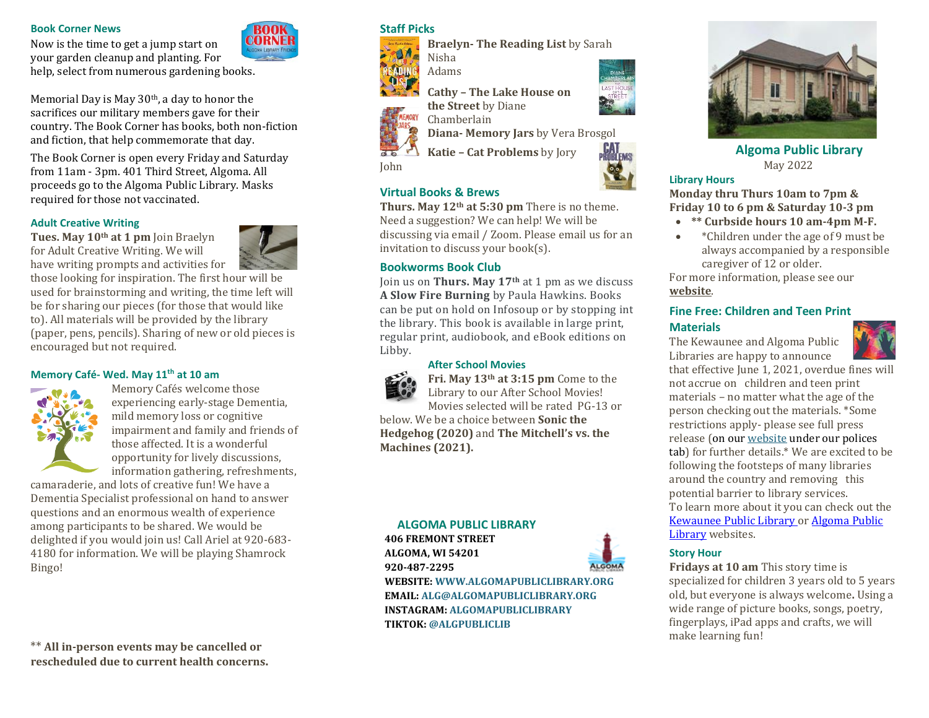#### **Book Corner News**

Now is the time to get a jump start on your garden cleanup and planting. For help, select from numerous gardening books.

Memorial Day is May 30<sup>th</sup>, a day to honor the sacrifices our military members gave for their country. The Book Corner has books, both non-fiction

and fiction, that help commemorate that day.

required for those not vaccinated.

**Adult Creative Writing** 

The Book Corner is open every Friday and Saturday from 11am - 3pm. 401 Third Street, Algoma. All proceeds go to the Algoma Public Library. Masks



# **Staff Picks**

**Braelyn- The Reading List** by Sarah



Adams







**Algoma Public Library** May 2022

#### **Library Hours**

**Monday thru Thurs 10am to 7pm & Friday 10 to 6 pm & Saturday 10-3 pm**

- **\*\* Curbside hours 10 am-4pm M-F.**
- \*Children under the age of 9 must be always accompanied by a responsible caregiver of 12 or older.

For more information, please see our **[website](https://www.algomapubliclibrary.org/reopening-plan.html)**.

#### **Fine Free: Children and Teen Print Materials**

The Kewaunee and Algoma Public Libraries are happy to announce



that effective June 1, 2021, overdue fines will not accrue on children and teen print materials – no matter what the age of the person checking out the materials. \*Some restrictions apply- please see full press release (on ou[r website](https://www.algomapubliclibrary.org/fine-free-press-release.html) under our polices tab) for further details.\* We are excited to be following the footsteps of many libraries around the country and removing this potential barrier to library services. To learn more about it you can check out the [Kewaunee Public Library o](https://www.kewauneepubliclibrary.org/)r [Algoma Public](https://www.algomapubliclibrary.org/)  [Library](https://www.algomapubliclibrary.org/) websites.

#### **Story Hour**

**Fridays at 10 am** This story time is specialized for children 3 years old to 5 years old, but everyone is always welcome**.** Using a wide range of picture books, songs, poetry, fingerplays, iPad apps and crafts, we will make learning fun!

**Cathy – The Lake House on the Street** by Diane



John

Chamberlain

**Diana- Memory Jars** by Vera Brosgol

**Katie – Cat Problems** by Jory

# **Virtual Books & Brews**

**Thurs. May 12th at 5:30 pm** There is no theme. Need a suggestion? We can help! We will be discussing via email / Zoom. Please email us for an invitation to discuss your book(s).

### **Bookworms Book Club**

Join us on **Thurs. May 17th** at 1 pm as we discuss **A Slow Fire Burning** by Paula Hawkins. Books can be put on hold on Infosoup or by stopping int the library. This book is available in large print, regular print, audiobook, and eBook editions on Libby.

#### **After School Movies**



**Fri. May 13th at 3:15 pm** Come to the Library to our After School Movies! Movies selected will be rated PG-13 or

below. We be a choice between **Sonic the Hedgehog (2020)** and **The Mitchell's vs. the Machines (2021).** 

# **ALGOMA PUBLIC LIBRARY 406 FREMONT STREET ALGOMA, WI 54201 920-487-2295**



**WEBSITE: WWW.ALGOMAPUBLICLIBRARY.ORG EMAIL: ALG@ALGOMAPUBLICLIBRARY.ORG INSTAGRAM: ALGOMAPUBLICLIBRARY TIKTOK: @ALGPUBLICLIB**



\*\* **All in-person events may be cancelled or rescheduled due to current health concerns.**



those looking for inspiration. The first hour will be used for brainstorming and writing, the time left will be for sharing our pieces (for those that would like to). All materials will be provided by the library (paper, pens, pencils). Sharing of new or old pieces is encouraged but not required.

#### **Memory Café- Wed. May 11th at 10 am**



Memory Cafés welcome those experiencing early-stage Dementia, mild memory loss or cognitive impairment and family and friends of those affected. It is a wonderful opportunity for lively discussions, information gathering, refreshments,

camaraderie, and lots of creative fun! We have a Dementia Specialist professional on hand to answer questions and an enormous wealth of experience among participants to be shared. We would be delighted if you would join us! Call Ariel at 920-683- 4180 for information. We will be playing Shamrock

Bingo!